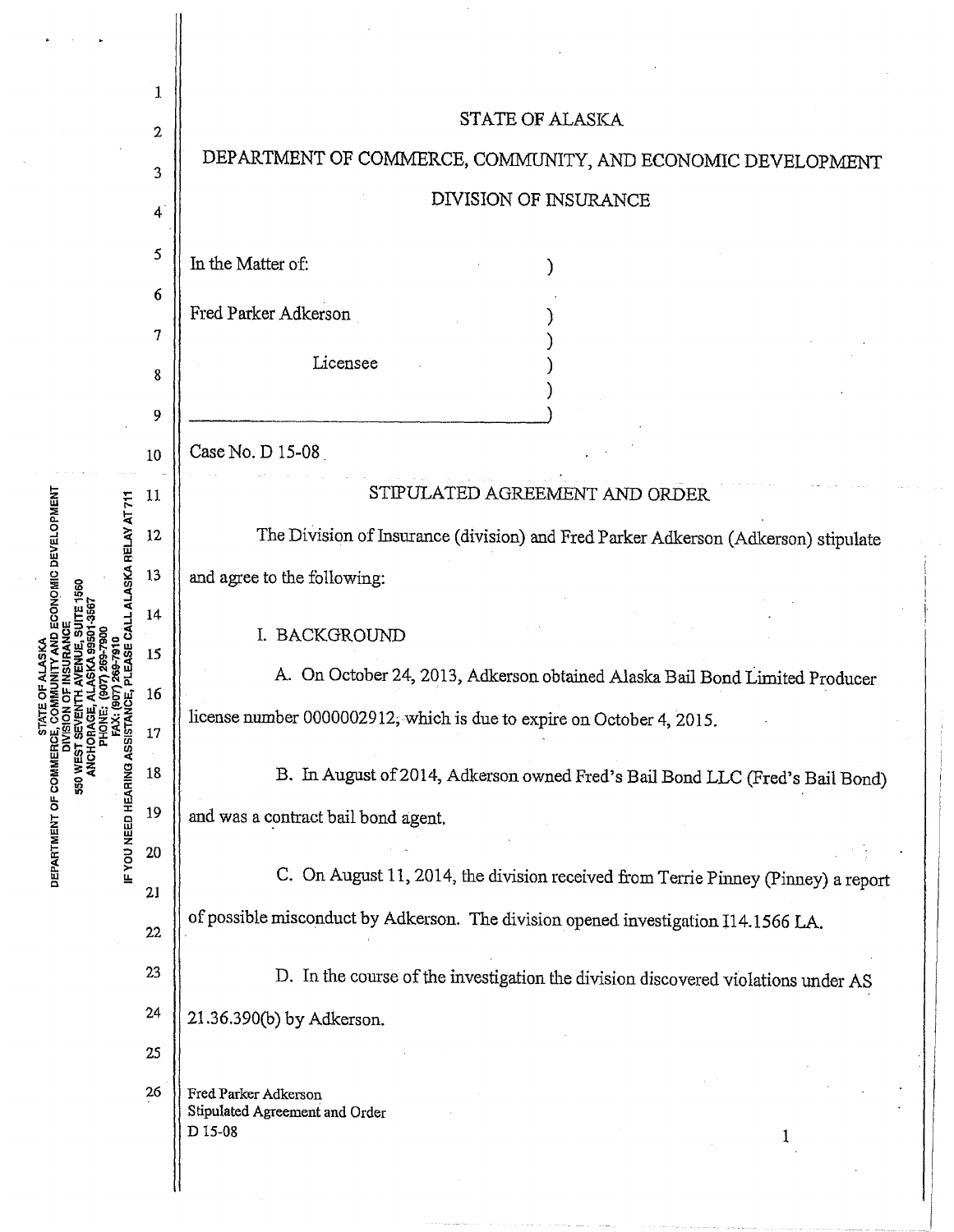|                                                                                                                                      | 1      |                                                                                    |
|--------------------------------------------------------------------------------------------------------------------------------------|--------|------------------------------------------------------------------------------------|
| <b>CONOMIC DEVELOPMENT</b><br>ASKA RELAY AT 711<br><b>IF YOU NEED HEARING ASSISTAN</b><br>ANCHOF<br>DEPARTMENT OF COMMER<br>550 WEST | 2      | <b>STATE OF ALASKA</b>                                                             |
|                                                                                                                                      | 3      | DEPARTMENT OF COMMERCE, COMMUNITY, AND ECONOMIC DEVELOPMENT                        |
|                                                                                                                                      | 4      | DIVISION OF INSURANCE                                                              |
|                                                                                                                                      | 5      | In the Matter of:                                                                  |
|                                                                                                                                      | 6      |                                                                                    |
|                                                                                                                                      | 7      | Fred Parker Adkerson                                                               |
|                                                                                                                                      | 8      | Licensee                                                                           |
|                                                                                                                                      | 9      |                                                                                    |
|                                                                                                                                      | 10     | Case No. D 15-08                                                                   |
|                                                                                                                                      | 11     | STIPULATED AGREEMENT AND ORDER                                                     |
|                                                                                                                                      | 12     | The Division of Insurance (division) and Fred Parker Adkerson (Adkerson) stipulate |
|                                                                                                                                      | 13     | and agree to the following:                                                        |
|                                                                                                                                      | 14     |                                                                                    |
|                                                                                                                                      | 15     | I. BACKGROUND                                                                      |
|                                                                                                                                      | 16     | On October 24, 2013, Adkerson obtained Alaska Bail Bond Limited Producer           |
|                                                                                                                                      | $17\,$ | license number 0000002912, which is due to expire on October 4, 2015.              |
|                                                                                                                                      | 18     | B. In August of 2014, Adkerson owned Fred's Bail Bond LLC (Fred's Bail Bond)       |
|                                                                                                                                      | 19     | and was a contract bail bond agent.                                                |
|                                                                                                                                      | 20     |                                                                                    |
|                                                                                                                                      | 21     | C. On August 11, 2014, the division received from Terrie Pinney (Pinney) a report  |
|                                                                                                                                      | 22     | of possible misconduct by Adkerson. The division opened investigation I14.1566 LA. |
|                                                                                                                                      | 23     | D. In the course of the investigation the division discovered violations under AS  |
|                                                                                                                                      | 24     | 21.36.390(b) by Adkerson.                                                          |
|                                                                                                                                      | 25     |                                                                                    |
|                                                                                                                                      | 26     | Fred Parker Adkerson                                                               |
|                                                                                                                                      |        | Stipulated Agreement and Order<br>D 15-08                                          |
|                                                                                                                                      |        |                                                                                    |
|                                                                                                                                      |        |                                                                                    |

 $\hat{\boldsymbol{\beta}}$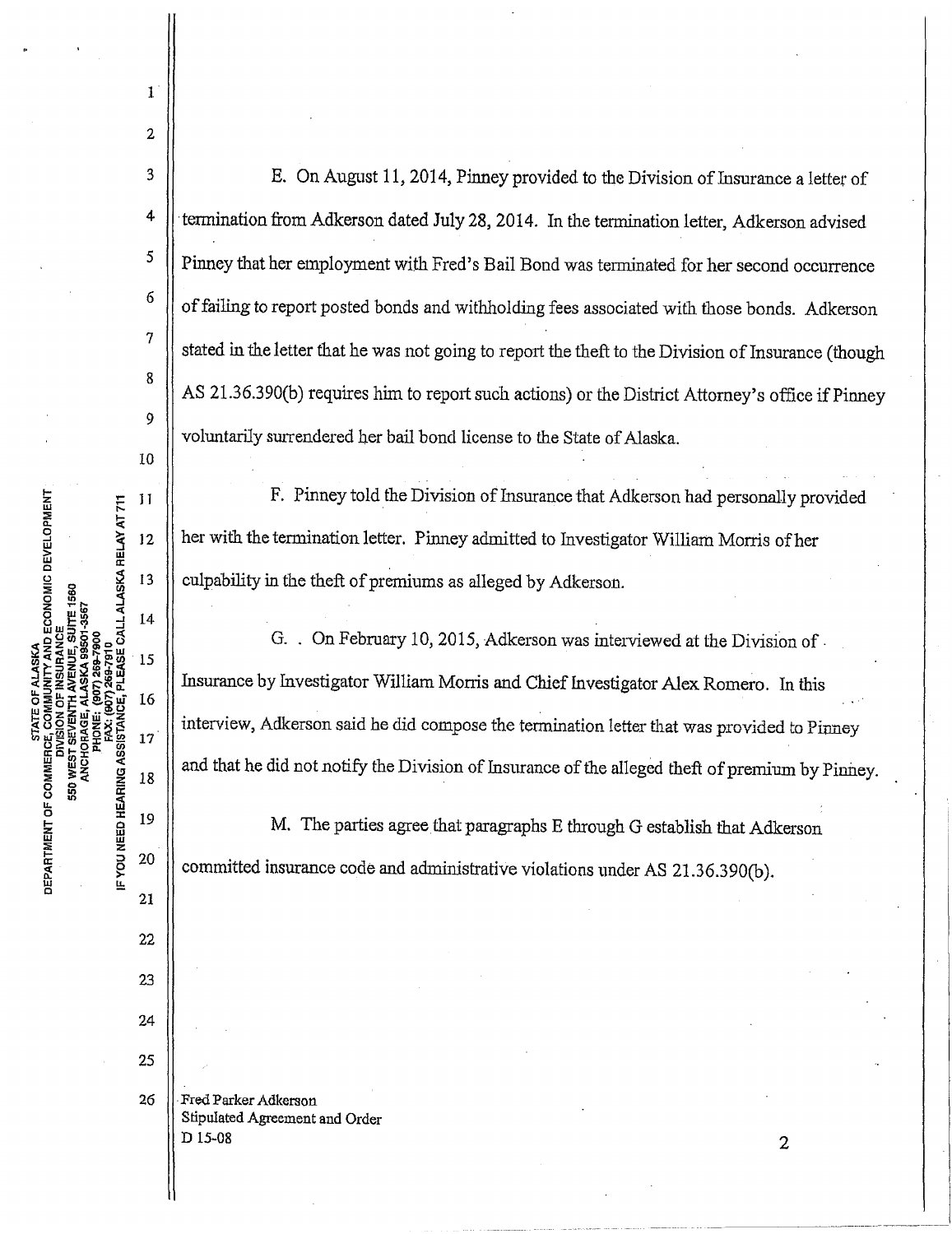MENT<br>T 711<br>T 711 Cl. <sup>~</sup>g D ECONOMIC DEVEL<br>CE<br>CE<br>DI-JSST<br>DI-JSST<br>DALL ALASKA RELA<br>ALL ALASKA RELA 2≩≤E&¥=A . <a:::>"'d,~(I) **STATE OF ALL STATE OF ALL STATE OF ALL STATE OF ALL STATE OF ALL STATE OF ALL STATE OF ALL STATE OF ALL STATE OF ALL STATE OF ALL STATE OF ALL STATE OF ALL STATE OF ALL STATE OF ALL STATE OF ALL STATE OF ALL STATE OF ALL** DEPAI<br>|<br>|F YO <sup>4</sup>  $\parallel$  termination from Adkerson dated July 28, 2014. In the termination letter, Adkerson advised <sup>5</sup> | Pinney that her employment with Fred's Bail Bond was terminated for her second occurrence  $6 \parallel$  of failing to report posted bonds and withholding fees associated with those bonds. Adkerson 7 stated in the letter that he was not going to report the theft to the Division of Insurance (though 8 AS 21.36.390(b) requires him to report such actions) or the District Attorney's office if Pinney 9 voluntarily surrendered her bail bond license to the State of Alaska. 10  $11$   $\parallel$  F. Pinney told the Division of Insurance that Adkerson had personally provided 12 || her with the termination letter. Pinney admitted to Investigator William Morris of her 13 culpability in the theft of premiums as alleged by Adkerson. 14 G. . On February 10, 2015, Adkerson was interviewed at the Division of. 15 Insurance by Investigator William Monis and Chief Investigator Alex Romero. In this 16  $\frac{17}{17}$  interview, Adkerson said he did compose the termination letter that was provided to Pinney  $\parallel$  and that he did not notify the Division of Insurance of the alleged theft of premium by Pinney. 19  $\parallel$  M. The parties agree that paragraphs E through G establish that Adkerson <sup>20</sup>  $\parallel$  committed insurance code and administrative violations under AS 21.36.390(b). 21 22 23 24 25 26 **Fred Parker Adkerson** Stipulated Agreement and Order  $D$  15-08 2

3 E. On August 11, 2014, Pinney provided to the Division of Insurance a letter of

1

2

I-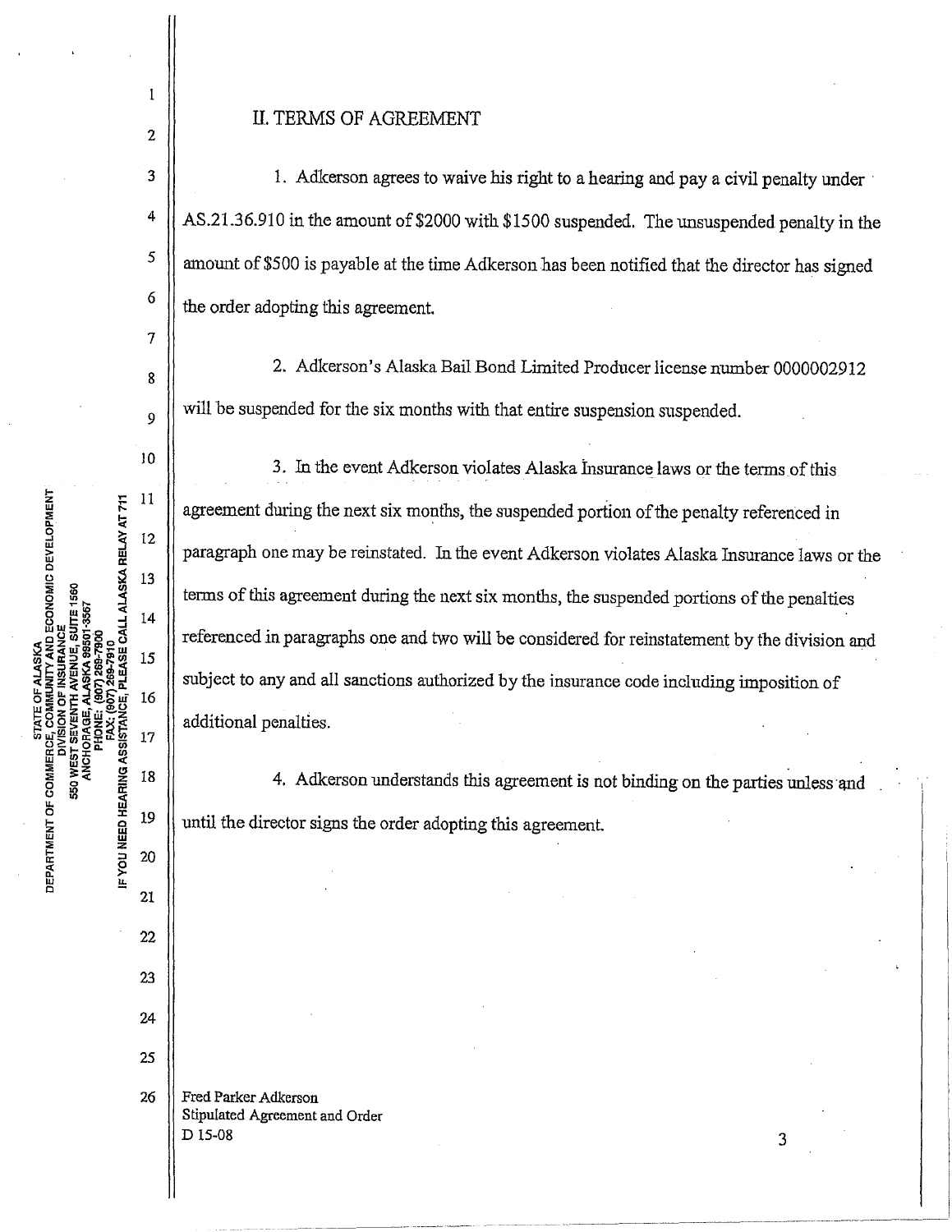## II. TERMS OF AGREEMENT

3 1. Adkerson agrees to waive his right to a hearing and pay a civil penalty under <sup>4</sup> AS.21.36.910 in the amount of \$2000 with \$1500 suspended. The unsuspended penalty in the  $\frac{5}{4}$  amount of \$500 is payable at the time Adkerson has been notified that the director has signed  $\begin{array}{c|c} 6 \end{array}$  the order adopting this agreement.

8 $\parallel$  2. Adkerson's Alaska Bail Bond Limited Producer license number 0000002912  $\mathbf{Q}$  will be suspended for the six months with that entire suspension suspended.

10 3. In the event Adkerson violates Alaska Insurance laws or the terms of this agreement during the next six months, the suspended portion of the penalty referenced in paragraph one may be reinstated. In the event Adkerson violates Alaska Insurance laws or the terms of *this* agreement during the next six months, the suspended portions of the penalties referenced in paragraphs one and two will be considered for reinstatement by the division and subject to any and all sanctions authorized by the insurance code including imposition of additional penalties.

4. Adkerson understands this agreement is not binding on the parties unless and until the director signs the order adopting this agreement.

25 26 | Fred Parker Adkerson Stipulated Agreement and Order  $D$  15-08 3

**TY AND ECONOMIC DEVELOPMENT<br>INRANCE**  $11$ PLEASE CALL ALASKA RELAY AT 711  $12$ 13  $14$ 15 16 **FYOU NEED HEARING ASSISTANCE** 17 DEPARTMENT OF COMMERCE 550 WEST ፩<br>ጄ 18 19 20 21 22

23

24

2

 $\mathbf{I}$ 

7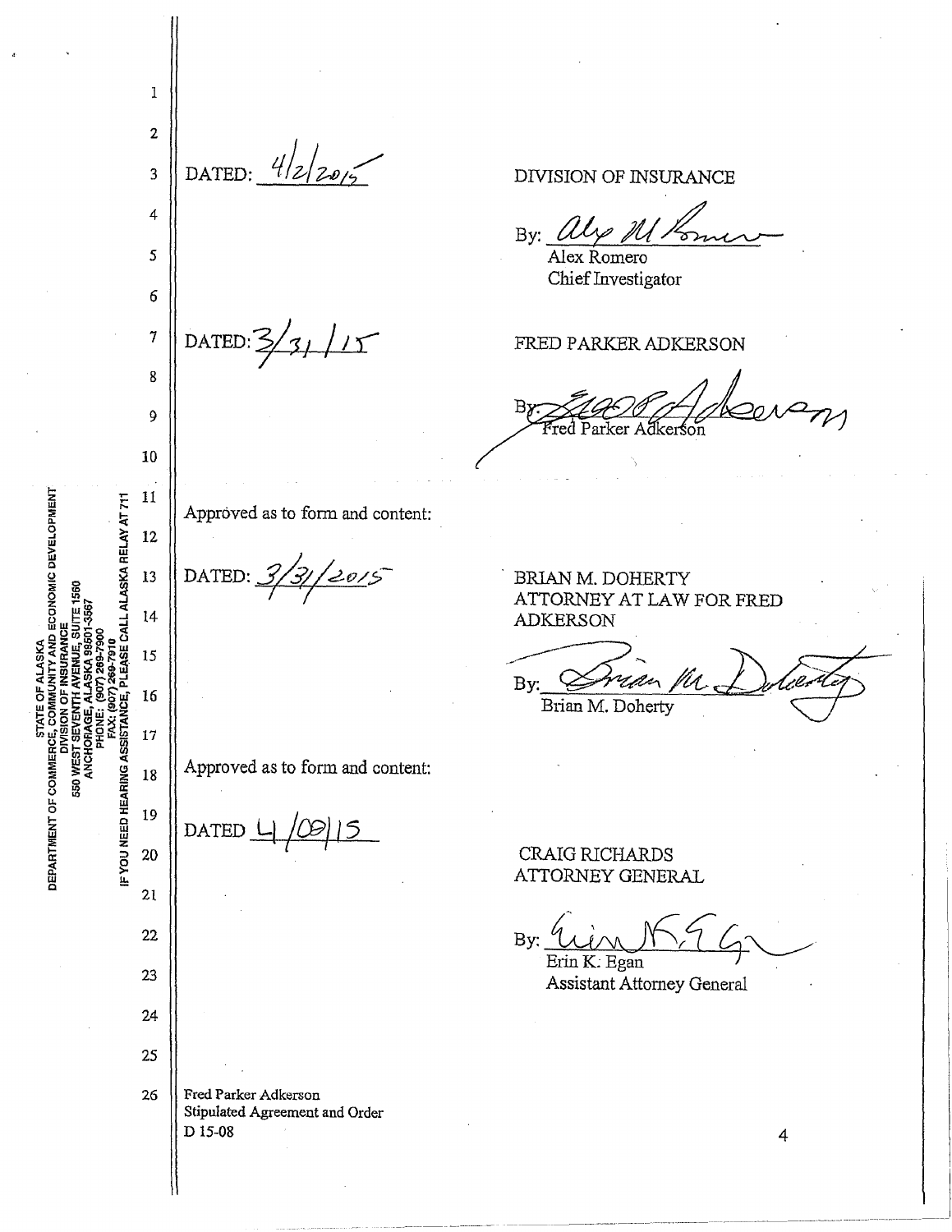1 2 DATED:  $4/2/20/5$ 3 DIVISION OF INSURANCE 4 By:  $\ell$ *5*  Alex Romero Chief Investigator 6  $7 \text{ DATED: } 3/31 /15$ FRED PARKER ADKERSON 8 9 Parker A dkerson 10 11 SE CALL ALASKA RELAY AT 711 Approved as to form and content: 12 12015 DATED: 13 BRIAN M. DOHERTY ATTORNEY AT LAW FOR FRED  $14$ ADKERSON By: Crian M. Dolcenty 15 16 IF YOU NEED HEARING ASSISTANCE, 17 Approved as to form and content: 550 WE 18 19 DATED *l* I 20 CRAIG RICFIARDS ATTORNEY GENERAL  $21$ 22 By:  $\frac{\partial(u)}{\partial\lambda}$ Erin *K*: Egan 23 Assistant Attorney General 24 25 26 | Fred Parker Adkerson Stipulated Agreement and Order D 15-08 4

**A**<br>ND ECONOMIC DEVELOPMENT

DEPARTMENT OF COMMER